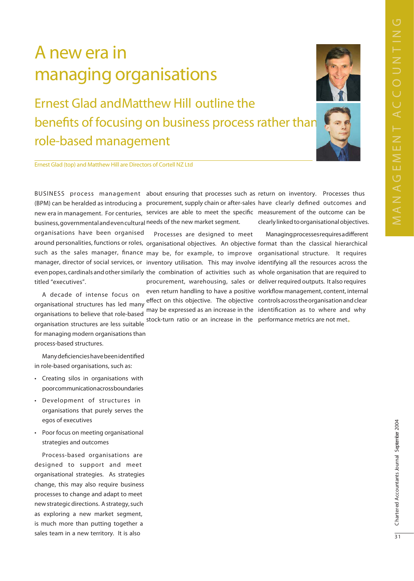# A new era in managing organisations

**Ernest Glad and Matthew Hill outline the** benefits of focusing on business process rather than role-based management



Ernest Glad (top) and Matthew Hill are Directors of Cortell NZ Ltd

business, governmental and even cultural needs of the new market segment.

organisations have been organised titled "executives".

A decade of intense focus on organisational structures has led many organisations to believe that role-based organisation structures are less suitable for managing modern organisations than process-based structures.

Many deficiencies have been identified in role-based organisations, such as:

- Creating silos in organisations with poorcommunicationacrossboundaries
- · Development of structures in organisations that purely serves the egos of executives
- Poor focus on meeting organisational strategies and outcomes

Process-based organisations are designed to support and meet organisational strategies. As strategies change, this may also require business processes to change and adapt to meet new strategic directions. A strategy, such as exploring a new market segment, is much more than putting together a sales team in a new territory. It is also

(BPM) can be heralded as introducing a procurement, supply chain or after-sales have clearly defined outcomes and new era in management. For centuries, services are able to meet the specific measurement of the outcome can be

> Processes are designed to meet stock-turn ratio or an increase in the performance metrics are not met.

BUSINESS process management about ensuring that processes such as return on inventory. Processes thus clearly linked to organisational objectives.

Managing processes requires a different around personalities, functions or roles, organisational objectives. An objective format than the classical hierarchical such as the sales manager, finance may be, for example, to improve organisational structure. It requires manager, director of social services, or inventory utilisation. This may involve identifying all the resources across the even popes, cardinals and other similarly the combination of activities such as whole organisation that are required to procurement, warehousing, sales or deliver required outputs. It also requires even return handling to have a positive workflow management, content, internal effect on this objective. The objective controls across the organisation and clear may be expressed as an increase in the identification as to where and why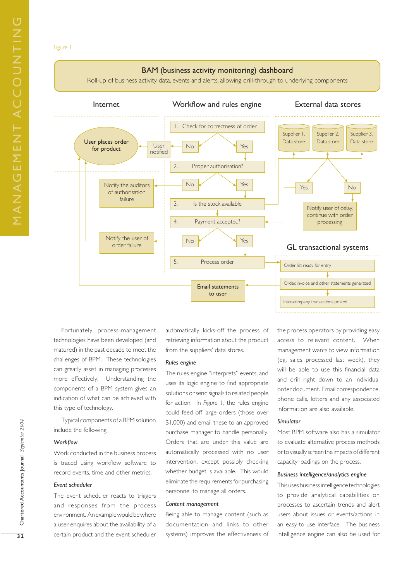#### Figure 1



Fortunately, process-management technologies have been developed (and matured) in the past decade to meet the challenges of BPM. These technologies can greatly assist in managing processes more effectively. Understanding the components of a BPM system gives an indication of what can be achieved with this type of technology.

Typical components of a BPM solution include the following.

### *Workflow*

Work conducted in the business process is traced using workflow software to record events, time and other metrics.

## *Event scheduler*

The event scheduler reacts to triggers and responses from the process environment. An example would be where a user enquires about the availability of a certain product and the event scheduler

automatically kicks-off the process of retrieving information about the product from the suppliers' data stores.

## *Rules engine*

The rules engine "interprets" events, and uses its logic engine to find appropriate solutions or send signals to related people for action. In *Figure 1*, the rules engine could feed off large orders (those over \$1,000) and email these to an approved purchase manager to handle personally. Orders that are under this value are automatically processed with no user intervention, except possibly checking whether budget is available. This would eliminate the requirements for purchasing personnel to manage all orders.

#### *Content management*

Being able to manage content (such as documentation and links to other systems) improves the effectiveness of the process operators by providing easy access to relevant content. When management wants to view information (eg, sales processed last week), they will be able to use this financial data and drill right down to an individual order document. Email correspondence, phone calls, letters and any associated information are also available.

#### *Simulator*

Most BPM software also has a simulator to evaluate alternative process methods or to visually screen the impacts of different capacity loadings on the process.

#### *Business intelligence/analytics engine*

This uses business intelligence technologies to provide analytical capabilities on processes to ascertain trends and alert users about issues or events/actions in an easy-to-use interface. The business intelligence engine can also be used for

Chartered Accountants Journal September 2004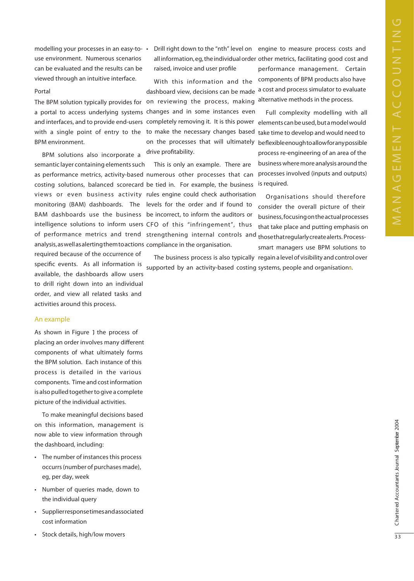modelling your processes in an easy-to- • use environment. Numerous scenarios can be evaluated and the results can be viewed through an intuitive interface.

#### Portal

**BPM** environment.

BPM solutions also incorporate a semantic layer containing elements such analysis, as well as alerting them to actions compliance in the organisation.

required because of the occurrence of specific events. As all information is available, the dashboards allow users to drill right down into an individual order, and view all related tasks and activities around this process.

#### An example

As shown in Figure 1 the process of placing an order involves many different components of what ultimately forms the BPM solution. Each instance of this process is detailed in the various components. Time and cost information is also pulled together to give a complete picture of the individual activities.

To make meaningful decisions based on this information, management is now able to view information through the dashboard, including:

- The number of instances this process occurrs (number of purchases made), eg, per day, week
- Number of queries made, down to the individual query
- Supplierresponsetimes and associated  $\bullet$ cost information
- Stock details, high/low movers

Drill right down to the "nth" level on engine to measure process costs and raised, invoice and user profile

With this information and the dashboard view, decisions can be made The BPM solution typically provides for on reviewing the process, making a portal to access underlying systems changes and in some instances even with a single point of entry to the to make the necessary changes based on the processes that will ultimately drive profitability.

This is only an example. There are as performance metrics, activity-based numerous other processes that can costing solutions, balanced scorecard be tied in. For example, the business views or even business activity rules engine could check authorisation monitoring (BAM) dashboards. The levels for the order and if found to BAM dashboards use the business be incorrect, to inform the auditors or intelligence solutions to inform users CFO of this "infringement", thus of performance metrics and trend strengthening internal controls and thosethatregularlycreatealerts. Process-

> The business process is also typically regain a level of visibility and control over supported by an activity-based costing systems, people and organisations.

all information, eg, the individual order other metrics, facilitating good cost and performance management. Certain components of BPM products also have a cost and process simulator to evaluate alternative methods in the process.

Full complexity modelling with all and interfaces, and to provide end-users completely removing it. It is this power elements can be used, but a model would take time to develop and would need to beflexibleenoughtoallowforanypossible process re-engineering of an area of the business where more analysis around the processes involved (inputs and outputs) is required.

> Organisations should therefore consider the overall picture of their business, focusing on the actual processes that take place and putting emphasis on

smart managers use BPM solutions to